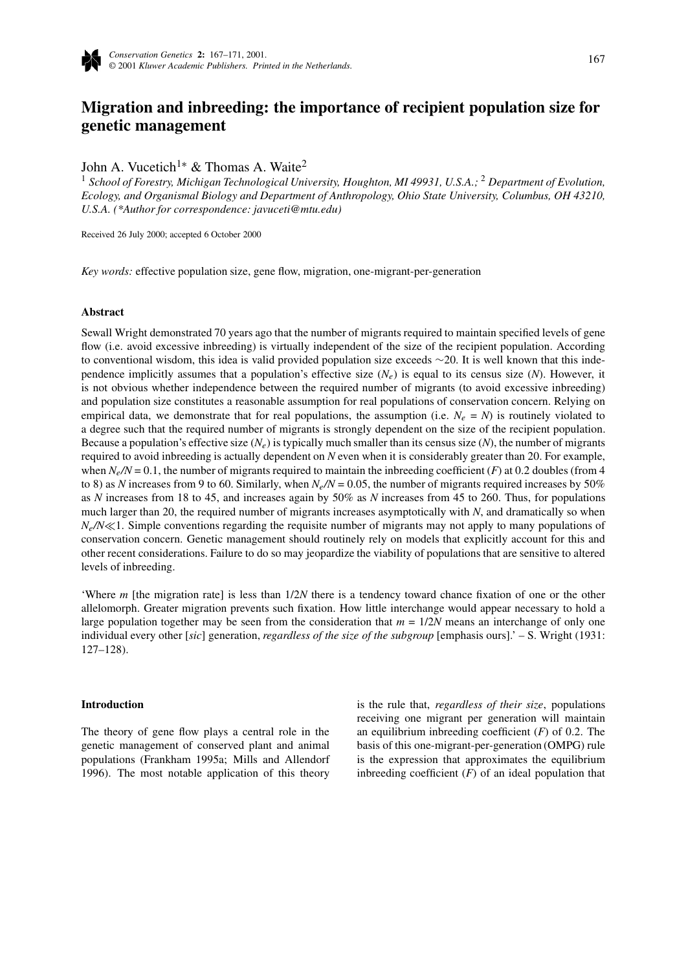

# **Migration and inbreeding: the importance of recipient population size for genetic management**

John A. Vucetich<sup>1∗</sup> & Thomas A. Waite<sup>2</sup>

<sup>1</sup> *School of Forestry, Michigan Technological University, Houghton, MI 49931, U.S.A.;* <sup>2</sup> *Department of Evolution, Ecology, and Organismal Biology and Department of Anthropology, Ohio State University, Columbus, OH 43210, U.S.A. (\*Author for correspondence: javuceti@mtu.edu)*

Received 26 July 2000; accepted 6 October 2000

*Key words:* effective population size, gene flow, migration, one-migrant-per-generation

## **Abstract**

Sewall Wright demonstrated 70 years ago that the number of migrants required to maintain specified levels of gene flow (i.e. avoid excessive inbreeding) is virtually independent of the size of the recipient population. According to conventional wisdom, this idea is valid provided population size exceeds ∼20. It is well known that this independence implicitly assumes that a population's effective size  $(N_e)$  is equal to its census size  $(N)$ . However, it is not obvious whether independence between the required number of migrants (to avoid excessive inbreeding) and population size constitutes a reasonable assumption for real populations of conservation concern. Relying on empirical data, we demonstrate that for real populations, the assumption (i.e.  $N_e = N$ ) is routinely violated to a degree such that the required number of migrants is strongly dependent on the size of the recipient population. Because a population's effective size  $(N_e)$  is typically much smaller than its census size  $(N)$ , the number of migrants required to avoid inbreeding is actually dependent on *N* even when it is considerably greater than 20. For example, when  $N_e/N = 0.1$ , the number of migrants required to maintain the inbreeding coefficient (*F*) at 0.2 doubles (from 4 to 8) as *N* increases from 9 to 60. Similarly, when  $N_e/N = 0.05$ , the number of migrants required increases by 50% as *N* increases from 18 to 45, and increases again by 50% as *N* increases from 45 to 260. Thus, for populations much larger than 20, the required number of migrants increases asymptotically with *N*, and dramatically so when  $N_e/N \ll 1$ . Simple conventions regarding the requisite number of migrants may not apply to many populations of conservation concern. Genetic management should routinely rely on models that explicitly account for this and other recent considerations. Failure to do so may jeopardize the viability of populations that are sensitive to altered levels of inbreeding.

'Where *m* [the migration rate] is less than 1/2*N* there is a tendency toward chance fixation of one or the other allelomorph. Greater migration prevents such fixation. How little interchange would appear necessary to hold a large population together may be seen from the consideration that  $m = 1/2N$  means an interchange of only one individual every other [*sic*] generation, *regardless of the size of the subgroup* [emphasis ours].' – S. Wright (1931: 127–128).

## **Introduction**

The theory of gene flow plays a central role in the genetic management of conserved plant and animal populations (Frankham 1995a; Mills and Allendorf 1996). The most notable application of this theory is the rule that, *regardless of their size*, populations receiving one migrant per generation will maintain an equilibrium inbreeding coefficient (*F*) of 0.2. The basis of this one-migrant-per-generation (OMPG) rule is the expression that approximates the equilibrium inbreeding coefficient  $(F)$  of an ideal population that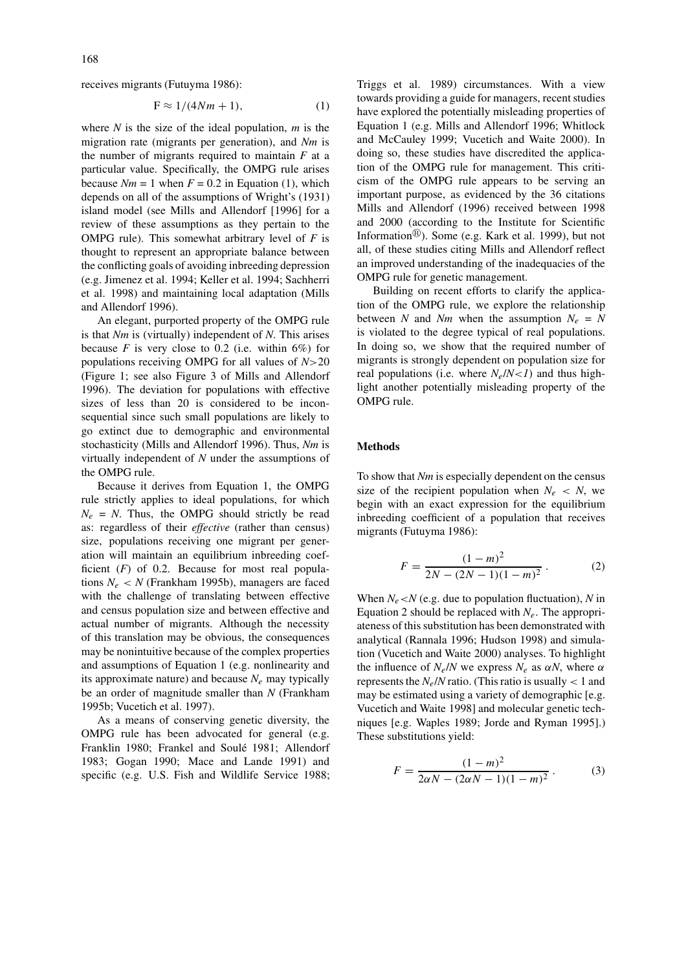receives migrants (Futuyma 1986):

$$
F \approx 1/(4Nm + 1),\tag{1}
$$

where *N* is the size of the ideal population, *m* is the migration rate (migrants per generation), and *Nm* is the number of migrants required to maintain  $F$  at a particular value. Specifically, the OMPG rule arises because  $Nm = 1$  when  $F = 0.2$  in Equation (1), which depends on all of the assumptions of Wright's (1931) island model (see Mills and Allendorf [1996] for a review of these assumptions as they pertain to the OMPG rule). This somewhat arbitrary level of *F* is thought to represent an appropriate balance between the conflicting goals of avoiding inbreeding depression (e.g. Jimenez et al. 1994; Keller et al. 1994; Sachherri et al. 1998) and maintaining local adaptation (Mills and Allendorf 1996).

An elegant, purported property of the OMPG rule is that *Nm* is (virtually) independent of *N*. This arises because  $F$  is very close to 0.2 (i.e. within  $6\%$ ) for populations receiving OMPG for all values of *N*>20 (Figure 1; see also Figure 3 of Mills and Allendorf 1996). The deviation for populations with effective sizes of less than 20 is considered to be inconsequential since such small populations are likely to go extinct due to demographic and environmental stochasticity (Mills and Allendorf 1996). Thus, *Nm* is virtually independent of *N* under the assumptions of the OMPG rule.

Because it derives from Equation 1, the OMPG rule strictly applies to ideal populations, for which  $N_e$  = *N*. Thus, the OMPG should strictly be read as: regardless of their *effective* (rather than census) size, populations receiving one migrant per generation will maintain an equilibrium inbreeding coefficient (*F*) of 0.2. Because for most real populations  $N_e$  < *N* (Frankham 1995b), managers are faced with the challenge of translating between effective and census population size and between effective and actual number of migrants. Although the necessity of this translation may be obvious, the consequences may be nonintuitive because of the complex properties and assumptions of Equation 1 (e.g. nonlinearity and its approximate nature) and because  $N_e$  may typically be an order of magnitude smaller than *N* (Frankham 1995b; Vucetich et al. 1997).

As a means of conserving genetic diversity, the OMPG rule has been advocated for general (e.g. Franklin 1980; Frankel and Soulé 1981; Allendorf 1983; Gogan 1990; Mace and Lande 1991) and specific (e.g. U.S. Fish and Wildlife Service 1988; Triggs et al. 1989) circumstances. With a view towards providing a guide for managers, recent studies have explored the potentially misleading properties of Equation 1 (e.g. Mills and Allendorf 1996; Whitlock and McCauley 1999; Vucetich and Waite 2000). In doing so, these studies have discredited the application of the OMPG rule for management. This criticism of the OMPG rule appears to be serving an important purpose, as evidenced by the 36 citations Mills and Allendorf (1996) received between 1998 and 2000 (according to the Institute for Scientific Information $\mathbb{B}$ ). Some (e.g. Kark et al. 1999), but not all, of these studies citing Mills and Allendorf reflect an improved understanding of the inadequacies of the OMPG rule for genetic management.

Building on recent efforts to clarify the application of the OMPG rule, we explore the relationship between *N* and *Nm* when the assumption  $N_e = N$ is violated to the degree typical of real populations. In doing so, we show that the required number of migrants is strongly dependent on population size for real populations (i.e. where  $N_e/N < 1$ ) and thus highlight another potentially misleading property of the OMPG rule.

# **Methods**

To show that *Nm* is especially dependent on the census size of the recipient population when  $N_e \, < N$ , we begin with an exact expression for the equilibrium inbreeding coefficient of a population that receives migrants (Futuyma 1986):

$$
F = \frac{(1-m)^2}{2N - (2N-1)(1-m)^2} \,. \tag{2}
$$

When  $N_e < N$  (e.g. due to population fluctuation), *N* in Equation 2 should be replaced with  $N_e$ . The appropriateness of this substitution has been demonstrated with analytical (Rannala 1996; Hudson 1998) and simulation (Vucetich and Waite 2000) analyses. To highlight the influence of  $N_e/N$  we express  $N_e$  as  $\alpha N$ , where  $\alpha$ represents the  $N_e/N$  ratio. (This ratio is usually  $< 1$  and may be estimated using a variety of demographic [e.g. Vucetich and Waite 1998] and molecular genetic techniques [e.g. Waples 1989; Jorde and Ryman 1995].) These substitutions yield:

$$
F = \frac{(1-m)^2}{2\alpha N - (2\alpha N - 1)(1-m)^2}.
$$
 (3)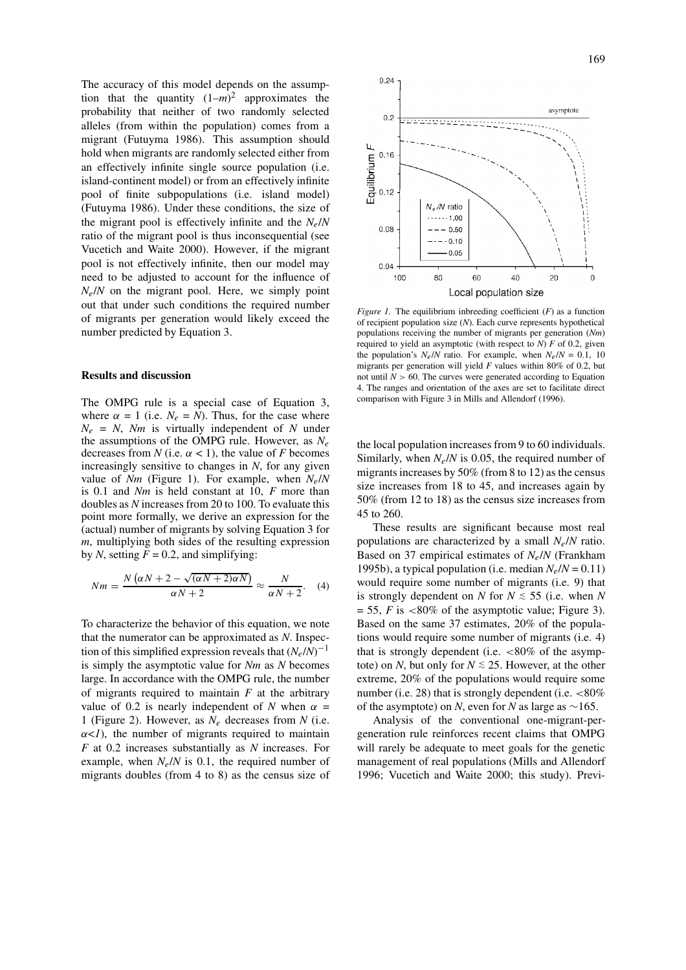The accuracy of this model depends on the assumption that the quantity  $(1-m)^2$  approximates the probability that neither of two randomly selected alleles (from within the population) comes from a migrant (Futuyma 1986). This assumption should hold when migrants are randomly selected either from an effectively infinite single source population (i.e. island-continent model) or from an effectively infinite pool of finite subpopulations (i.e. island model) (Futuyma 1986). Under these conditions, the size of the migrant pool is effectively infinite and the  $N_e/N$ ratio of the migrant pool is thus inconsequential (see Vucetich and Waite 2000). However, if the migrant pool is not effectively infinite, then our model may need to be adjusted to account for the influence of  $N_e/N$  on the migrant pool. Here, we simply point out that under such conditions the required number of migrants per generation would likely exceed the number predicted by Equation 3.

### **Results and discussion**

The OMPG rule is a special case of Equation 3, where  $\alpha = 1$  (i.e.  $N_e = N$ ). Thus, for the case where  $N_e$  = *N*, *Nm* is virtually independent of *N* under the assumptions of the OMPG rule. However, as  $N_e$ decreases from *N* (i.e.  $\alpha$  < 1), the value of *F* becomes increasingly sensitive to changes in *N*, for any given value of *Nm* (Figure 1). For example, when  $N_e/N$ is 0.1 and *Nm* is held constant at 10, *F* more than doubles as *N* increases from 20 to 100. To evaluate this point more formally, we derive an expression for the (actual) number of migrants by solving Equation 3 for *m*, multiplying both sides of the resulting expression by *N*, setting  $F = 0.2$ , and simplifying:

$$
Nm = \frac{N(\alpha N + 2 - \sqrt{(\alpha N + 2)\alpha N})}{\alpha N + 2} \approx \frac{N}{\alpha N + 2}.
$$
 (4)

To characterize the behavior of this equation, we note that the numerator can be approximated as *N*. Inspection of this simplified expression reveals that  $(N_e/N)^{-1}$ is simply the asymptotic value for *Nm* as *N* becomes large. In accordance with the OMPG rule, the number of migrants required to maintain *F* at the arbitrary value of 0.2 is nearly independent of *N* when  $\alpha$  = 1 (Figure 2). However, as *N*<sup>e</sup> decreases from *N* (i.e.  $\alpha$ <*1*), the number of migrants required to maintain *F* at 0.2 increases substantially as *N* increases. For example, when  $N_e/N$  is 0.1, the required number of migrants doubles (from 4 to 8) as the census size of



*Figure 1.* The equilibrium inbreeding coefficient (*F*) as a function of recipient population size (*N*). Each curve represents hypothetical populations receiving the number of migrants per generation (*Nm*) required to yield an asymptotic (with respect to *N*) *F* of 0.2, given the population's  $N_e/N$  ratio. For example, when  $N_e/N = 0.1$ , 10 migrants per generation will yield *F* values within 80% of 0.2, but not until  $N > 60$ . The curves were generated according to Equation 4. The ranges and orientation of the axes are set to facilitate direct comparison with Figure 3 in Mills and Allendorf (1996).

the local population increases from 9 to 60 individuals. Similarly, when  $N_e/N$  is 0.05, the required number of migrants increases by 50% (from 8 to 12) as the census size increases from 18 to 45, and increases again by 50% (from 12 to 18) as the census size increases from 45 to 260.

These results are significant because most real populations are characterized by a small  $N_e/N$  ratio. Based on 37 empirical estimates of  $N_e/N$  (Frankham 1995b), a typical population (i.e. median  $N_e/N = 0.11$ ) would require some number of migrants (i.e. 9) that is strongly dependent on *N* for  $N \le 55$  (i.e. when *N*  $= 55$ , *F* is <80% of the asymptotic value; Figure 3). Based on the same 37 estimates, 20% of the populations would require some number of migrants (i.e. 4) that is strongly dependent (i.e.  $< 80\%$  of the asymptote) on *N*, but only for  $N \lesssim 25$ . However, at the other extreme, 20% of the populations would require some number (i.e. 28) that is strongly dependent (i.e.  $<80\%$ ) of the asymptote) on *N*, even for *N* as large as ∼165.

Analysis of the conventional one-migrant-pergeneration rule reinforces recent claims that OMPG will rarely be adequate to meet goals for the genetic management of real populations (Mills and Allendorf 1996; Vucetich and Waite 2000; this study). Previ-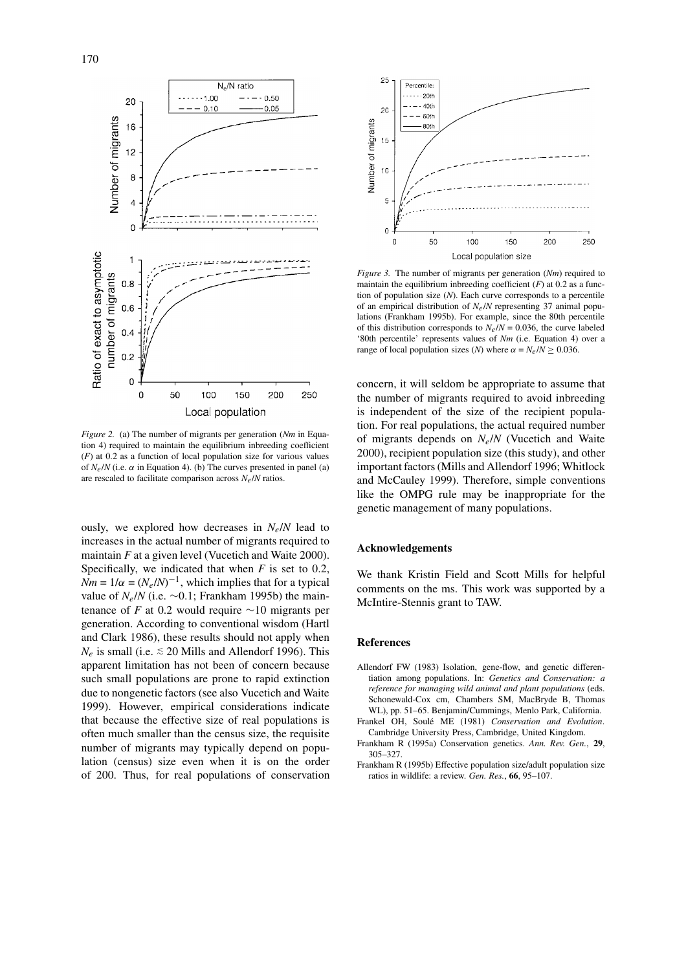

*Figure 2.* (a) The number of migrants per generation (*Nm* in Equation 4) required to maintain the equilibrium inbreeding coefficient (*F*) at 0.2 as a function of local population size for various values of  $N_e/N$  (i.e.  $\alpha$  in Equation 4). (b) The curves presented in panel (a) are rescaled to facilitate comparison across *N*e/*N* ratios.

ously, we explored how decreases in  $N_e/N$  lead to increases in the actual number of migrants required to maintain *F* at a given level (Vucetich and Waite 2000). Specifically, we indicated that when *F* is set to 0.2,  $Nm = 1/\alpha = (N_e/N)^{-1}$ , which implies that for a typical value of  $N_e/N$  (i.e. ~0.1; Frankham 1995b) the maintenance of *F* at 0.2 would require ∼10 migrants per generation. According to conventional wisdom (Hartl and Clark 1986), these results should not apply when  $N_e$  is small (i.e.  $\leq 20$  Mills and Allendorf 1996). This apparent limitation has not been of concern because such small populations are prone to rapid extinction due to nongenetic factors (see also Vucetich and Waite 1999). However, empirical considerations indicate that because the effective size of real populations is often much smaller than the census size, the requisite number of migrants may typically depend on population (census) size even when it is on the order of 200. Thus, for real populations of conservation



*Figure 3.* The number of migrants per generation (*Nm*) required to maintain the equilibrium inbreeding coefficient (*F*) at 0.2 as a function of population size (*N*). Each curve corresponds to a percentile of an empirical distribution of *N*e/*N* representing 37 animal populations (Frankham 1995b). For example, since the 80th percentile of this distribution corresponds to  $N_e/N = 0.036$ , the curve labeled '80th percentile' represents values of *Nm* (i.e. Equation 4) over a range of local population sizes (*N*) where  $\alpha = N_e/N \ge 0.036$ .

concern, it will seldom be appropriate to assume that the number of migrants required to avoid inbreeding is independent of the size of the recipient population. For real populations, the actual required number of migrants depends on *N*e/*N* (Vucetich and Waite 2000), recipient population size (this study), and other important factors (Mills and Allendorf 1996; Whitlock and McCauley 1999). Therefore, simple conventions like the OMPG rule may be inappropriate for the genetic management of many populations.

### **Acknowledgements**

We thank Kristin Field and Scott Mills for helpful comments on the ms. This work was supported by a McIntire-Stennis grant to TAW.

#### **References**

- Allendorf FW (1983) Isolation, gene-flow, and genetic differentiation among populations. In: *Genetics and Conservation: a reference for managing wild animal and plant populations* (eds. Schonewald-Cox cm, Chambers SM, MacBryde B, Thomas WL), pp. 51–65. Benjamin/Cummings, Menlo Park, California.
- Frankel OH, Soulé ME (1981) *Conservation and Evolution*. Cambridge University Press, Cambridge, United Kingdom.
- Frankham R (1995a) Conservation genetics. *Ann. Rev. Gen.*, **29**, 305–327.
- Frankham R (1995b) Effective population size/adult population size ratios in wildlife: a review. *Gen. Res.*, **66**, 95–107.